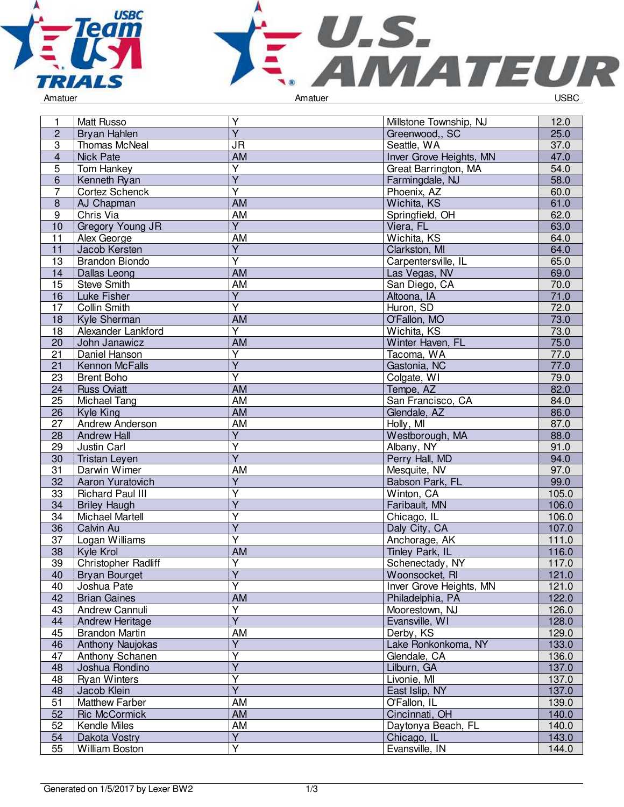



| 1               | Matt Russo                   | $\overline{Y}$                       | Millstone Township, NJ  | 12.0  |
|-----------------|------------------------------|--------------------------------------|-------------------------|-------|
| $\overline{2}$  | Bryan Hahlen                 | $\overline{Y}$                       | Greenwood,, SC          | 25.0  |
| $\overline{3}$  | Thomas McNeal                | <b>JR</b>                            | Seattle, WA             | 37.0  |
| $\overline{4}$  | <b>Nick Pate</b>             | <b>AM</b>                            | Inver Grove Heights, MN | 47.0  |
| 5               | Tom Hankey                   | Y                                    | Great Barrington, MA    | 54.0  |
| 6               | Kenneth Ryan                 | $\overline{Y}$                       | Farmingdale, NJ         | 58.0  |
| 7               | Cortez Schenck               | $\overline{\mathsf{Y}}$              | Phoenix, AZ             | 60.0  |
| $\bf 8$         | AJ Chapman                   | <b>AM</b>                            | Wichita, KS             | 61.0  |
| 9               | Chris Via                    | AM                                   | Springfield, OH         | 62.0  |
| 10              | Gregory Young JR             | $\overline{Y}$                       | Viera, FL               | 63.0  |
| 11              | Alex George                  | AM                                   | Wichita, KS             | 64.0  |
| 11              | Jacob Kersten                | $\overline{Y}$                       | Clarkston, MI           | 64.0  |
| 13              | <b>Brandon Biondo</b>        | $\overline{\mathsf{Y}}$              | Carpentersville, IL     | 65.0  |
| 14              | Dallas Leong                 | <b>AM</b>                            | Las Vegas, NV           | 69.0  |
| 15              | <b>Steve Smith</b>           | <b>AM</b>                            | San Diego, CA           | 70.0  |
| 16              | Luke Fisher                  | $\overline{Y}$                       | Altoona, IA             | 71.0  |
| 17              | Collin Smith                 | $\overline{\mathsf{Y}}$              | Huron, SD               | 72.0  |
| 18              | Kyle Sherman                 | <b>AM</b>                            | O'Fallon, MO            | 73.0  |
| 18              | Alexander Lankford           | $\overline{Y}$                       | Wichita, KS             | 73.0  |
| 20              | John Janawicz                | $\overline{AM}$                      | Winter Haven, FL        | 75.0  |
| 21              | Daniel Hanson                | Υ                                    | Tacoma, WA              | 77.0  |
| $\overline{21}$ | Kennon McFalls               | $\overline{Y}$                       | Gastonia, NC            | 77.0  |
| 23              | <b>Brent Boho</b>            | $\overline{\mathsf{Y}}$              | Colgate, WI             | 79.0  |
| 24              | <b>Russ Oviatt</b>           | <b>AM</b>                            | Tempe, AZ               | 82.0  |
| 25              | Michael Tang                 | <b>AM</b>                            | San Francisco, CA       | 84.0  |
| 26              | Kyle King                    | <b>AM</b>                            | Glendale, AZ            | 86.0  |
| 27              | Andrew Anderson              | <b>AM</b>                            | Holly, MI               | 87.0  |
| 28              | <b>Andrew Hall</b>           | $\overline{Y}$                       | Westborough, MA         | 88.0  |
| 29              | Justin Carl                  | Y                                    | Albany, NY              | 91.0  |
| 30              | <b>Tristan Leyen</b>         | $\overline{Y}$                       | Perry Hall, MD          | 94.0  |
| 31              | Darwin Wimer                 | AM                                   | Mesquite, NV            | 97.0  |
| 32              | Aaron Yuratovich             | $\overline{\mathsf{Y}}$              | Babson Park, FL         | 99.0  |
| 33              | <b>Richard Paul III</b>      | $\overline{\mathsf{Y}}$              | Winton, CA              | 105.0 |
| 34              | <b>Briley Haugh</b>          | $\overline{\mathsf{Y}}$              | Faribault, MN           | 106.0 |
| 34              | <b>Michael Martell</b>       | $\overline{\mathsf{Y}}$              | Chicago, IL             | 106.0 |
| 36              | Calvin Au                    | $\overline{\mathsf{Y}}$              | Daly City, CA           | 107.0 |
| 37              | Logan Williams               | Ÿ                                    | Anchorage, AK           | 111.0 |
| 38              | Kyle Krol                    | <b>AM</b>                            |                         | 116.0 |
|                 | <b>Christopher Radliff</b>   | Υ                                    | Tinley Park, IL         |       |
| 39              |                              | $\overline{Y}$                       | Schenectady, NY         | 117.0 |
| 40<br>40        | Bryan Bourget<br>Joshua Pate | $\overline{Y}$                       | Woonsocket, RI          | 121.0 |
|                 |                              |                                      | Inver Grove Heights, MN | 121.0 |
| 42              | <b>Brian Gaines</b>          | <b>AM</b><br>$\overline{\mathsf{Y}}$ | Philadelphia, PA        | 122.0 |
| 43              | Andrew Cannuli               | $\overline{Y}$                       | Moorestown, NJ          | 126.0 |
| 44              | Andrew Heritage              |                                      | Evansville, WI          | 128.0 |
| 45              | <b>Brandon Martin</b>        | AM<br>$\overline{Y}$                 | Derby, KS               | 129.0 |
| 46              | <b>Anthony Naujokas</b>      |                                      | Lake Ronkonkoma, NY     | 133.0 |
| 47              | Anthony Schanen              | Υ                                    | Glendale, CA            | 136.0 |
| 48              | Joshua Rondino               | $\overline{Y}$                       | Lilburn, GA             | 137.0 |
| 48              | <b>Ryan Winters</b>          | $\overline{\mathsf{Y}}$              | Livonie, MI             | 137.0 |
| 48              | Jacob Klein                  | $\overline{Y}$                       | East Islip, NY          | 137.0 |
| 51              | <b>Matthew Farber</b>        | AM                                   | O'Fallon, IL            | 139.0 |
| 52              | <b>Ric McCormick</b>         | <b>AM</b>                            | Cincinnati, OH          | 140.0 |
| 52              | Kendle Miles                 | <b>AM</b>                            | Daytonya Beach, FL      | 140.0 |
| 54              | Dakota Vostry                | $\overline{Y}$                       | Chicago, IL             | 143.0 |
| 55              | William Boston               | Y                                    | Evansville, IN          | 144.0 |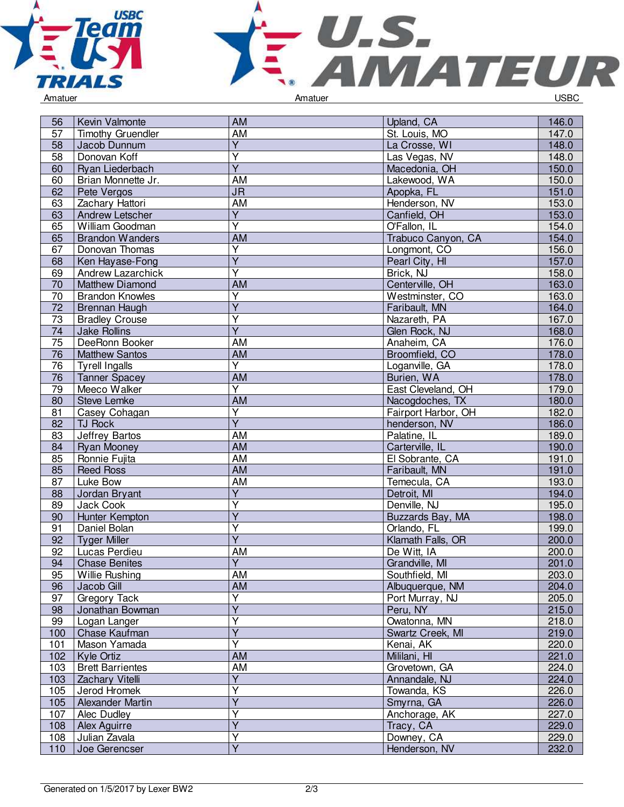



| 56  | Kevin Valmonte           | <b>AM</b>                         | Upland, CA          | 146.0 |
|-----|--------------------------|-----------------------------------|---------------------|-------|
| 57  | <b>Timothy Gruendler</b> | AM                                | St. Louis, MO       | 147.0 |
| 58  | Jacob Dunnum             | Y                                 | La Crosse, WI       | 148.0 |
| 58  | Donovan Koff             | Υ                                 | Las Vegas, NV       | 148.0 |
| 60  | Ryan Liederbach          | $\overline{Y}$                    | Macedonia, OH       | 150.0 |
| 60  | Brian Monnette Jr.       | AM                                | Lakewood, WA        | 150.0 |
| 62  | Pete Vergos              | $\overline{\mathsf{J}\mathsf{R}}$ | Apopka, FL          | 151.0 |
| 63  | Zachary Hattori          | <b>AM</b>                         | Henderson, NV       | 153.0 |
| 63  | <b>Andrew Letscher</b>   | $\overline{Y}$                    | Canfield, OH        | 153.0 |
| 65  | William Goodman          | $\overline{Y}$                    | O'Fallon, IL        | 154.0 |
| 65  | <b>Brandon Wanders</b>   | AM                                | Trabuco Canyon, CA  | 154.0 |
| 67  | Donovan Thomas           | $\overline{Y}$                    | Longmont, CO        | 156.0 |
| 68  | Ken Hayase-Fong          | $\overline{\mathsf{Y}}$           | Pearl City, HI      | 157.0 |
| 69  | <b>Andrew Lazarchick</b> | $\overline{Y}$                    | Brick, NJ           | 158.0 |
| 70  | <b>Matthew Diamond</b>   | AM                                | Centerville, OH     | 163.0 |
| 70  | <b>Brandon Knowles</b>   | Y                                 | Westminster, CO     | 163.0 |
| 72  | Brennan Haugh            | $\overline{Y}$                    | Faribault, MN       | 164.0 |
| 73  | <b>Bradley Crouse</b>    | $\overline{\mathsf{Y}}$           | Nazareth, PA        | 167.0 |
| 74  | <b>Jake Rollins</b>      | $\overline{Y}$                    | Glen Rock, NJ       | 168.0 |
| 75  | DeeRonn Booker           | AM                                | Anaheim, CA         | 176.0 |
| 76  | <b>Matthew Santos</b>    | <b>AM</b>                         | Broomfield, CO      | 178.0 |
| 76  | <b>Tyrell Ingalls</b>    | $\overline{Y}$                    | Loganville, GA      | 178.0 |
| 76  | <b>Tanner Spacey</b>     | <b>AM</b>                         | Burien, WA          | 178.0 |
| 79  | Meeco Walker             | $\overline{Y}$                    | East Cleveland, OH  | 179.0 |
| 80  | <b>Steve Lemke</b>       | <b>AM</b>                         | Nacogdoches, TX     | 180.0 |
| 81  | Casey Cohagan            | $\overline{Y}$                    | Fairport Harbor, OH | 182.0 |
| 82  | <b>TJ Rock</b>           | $\overline{Y}$                    | henderson, NV       | 186.0 |
| 83  | Jeffrey Bartos           | <b>AM</b>                         | Palatine, IL        | 189.0 |
| 84  | <b>Ryan Mooney</b>       | AM                                | Carterville, IL     | 190.0 |
| 85  | Ronnie Fujita            | <b>AM</b>                         | El Sobrante, CA     | 191.0 |
| 85  | <b>Reed Ross</b>         | AM                                | Faribault, MN       | 191.0 |
| 87  | Luke Bow                 | AM                                | Temecula, CA        | 193.0 |
| 88  | Jordan Bryant            | Y                                 | Detroit, MI         | 194.0 |
| 89  | Jack Cook                | Y                                 | Denville, NJ        | 195.0 |
| 90  | Hunter Kempton           | $\overline{Y}$                    | Buzzards Bay, MA    | 198.0 |
| 91  | Daniel Bolan             | Υ                                 | Orlando, FL         | 199.0 |
| 92  | <b>Tyger Miller</b>      | $\overline{Y}$                    | Klamath Falls, OR   | 200.0 |
| 92  | Lucas Perdieu            | <b>AM</b>                         | De Witt, IA         | 200.0 |
| 94  | <b>Chase Benites</b>     | $\overline{Y}$                    | Grandville, MI      | 201.0 |
| 95  | <b>Willie Rushing</b>    | <b>AM</b>                         | Southfield, MI      | 203.0 |
| 96  | Jacob Gill               | AM                                | Albuquerque, NM     | 204.0 |
| 97  | <b>Gregory Tack</b>      | Y                                 | Port Murray, NJ     | 205.0 |
| 98  | Jonathan Bowman          | $\overline{Y}$                    | Peru, NY            | 215.0 |
| 99  | Logan Langer             | Y                                 | Owatonna, MN        | 218.0 |
| 100 | Chase Kaufman            | $\overline{Y}$                    | Swartz Creek, MI    | 219.0 |
| 101 | Mason Yamada             | $\overline{Y}$                    | Kenai, AK           | 220.0 |
| 102 | Kyle Ortiz               | <b>AM</b>                         | Mililani, HI        | 221.0 |
| 103 | <b>Brett Barrientes</b>  | <b>AM</b>                         | Grovetown, GA       | 224.0 |
| 103 | Zachary Vitelli          | $\overline{\mathsf{Y}}$           | Annandale, NJ       | 224.0 |
| 105 | Jerod Hromek             | $\overline{Y}$                    | Towanda, KS         | 226.0 |
| 105 | Alexander Martin         | Y                                 | Smyrna, GA          | 226.0 |
| 107 | Alec Dudley              | Υ                                 | Anchorage, AK       | 227.0 |
| 108 | Alex Aguirre             | Y                                 | Tracy, CA           | 229.0 |
| 108 | Julian Zavala            | Υ                                 | Downey, CA          | 229.0 |
| 110 | Joe Gerencser            | $\overline{Y}$                    | Henderson, NV       | 232.0 |
|     |                          |                                   |                     |       |